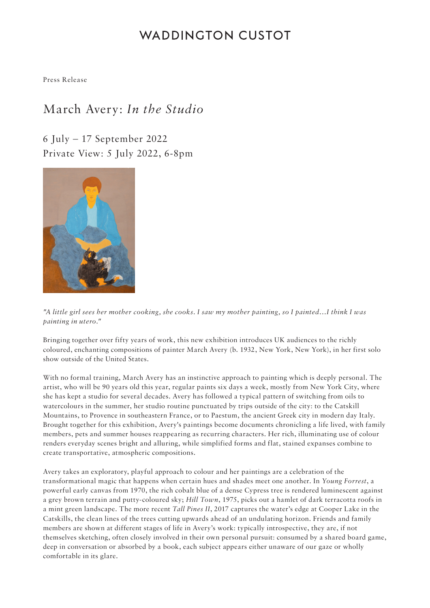# **WADDINGTON CUSTOT**

Press Release

## March Avery: *In the Studio*

6 July – 17 September 2022 Private View: 5 July 2022, 6-8pm



*"A little girl sees her mother cooking, she cooks. I saw my mother painting, so I painted…I think I was painting in utero."*

Bringing together over fifty years of work, this new exhibition introduces UK audiences to the richly coloured, enchanting compositions of painter March Avery (b. 1932, New York, New York), in her first solo show outside of the United States.

With no formal training, March Avery has an instinctive approach to painting which is deeply personal. The artist, who will be 90 years old this year, regular paints six days a week, mostly from New York City, where she has kept a studio for several decades. Avery has followed a typical pattern of switching from oils to watercolours in the summer, her studio routine punctuated by trips outside of the city: to the Catskill Mountains, to Provence in southeastern France, or to Paestum, the ancient Greek city in modern day Italy. Brought together for this exhibition, Avery's paintings become documents chronicling a life lived, with family members, pets and summer houses reappearing as recurring characters. Her rich, illuminating use of colour renders everyday scenes bright and alluring, while simplified forms and flat, stained expanses combine to create transportative, atmospheric compositions.

Avery takes an exploratory, playful approach to colour and her paintings are a celebration of the transformational magic that happens when certain hues and shades meet one another. In *Young Forrest*, a powerful early canvas from 1970, the rich cobalt blue of a dense Cypress tree is rendered luminescent against a grey brown terrain and putty-coloured sky; *Hill Town*, 1975, picks out a hamlet of dark terracotta roofs in a mint green landscape. The more recent *Tall Pines II*, 2017 captures the water's edge at Cooper Lake in the Catskills, the clean lines of the trees cutting upwards ahead of an undulating horizon. Friends and family members are shown at different stages of life in Avery's work: typically introspective, they are, if not themselves sketching, often closely involved in their own personal pursuit: consumed by a shared board game, deep in conversation or absorbed by a book, each subject appears either unaware of our gaze or wholly comfortable in its glare.